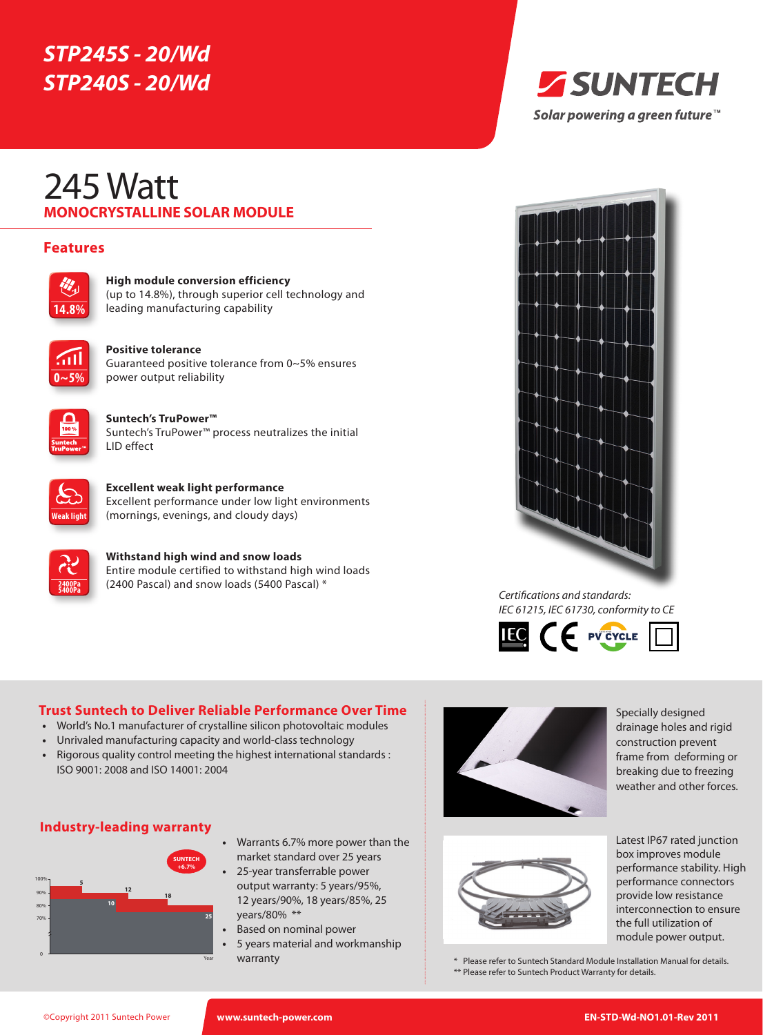# *STP245S - 20/Wd STP240S - 20/Wd*

# **MONOCRYSTALLINE SOLAR MODULE** 245 Watt

# **Features**



**High module conversion efficiency** (up to 14.8%), through superior cell technology and leading manufacturing capability



#### **Positive tolerance**  Guaranteed positive tolerance from 0~5% ensures power output reliability



**Suntech's TruPower™** Suntech's TruPower™ process neutralizes the initial LID effect



**Excellent weak light performance** Excellent performance under low light environments (mornings, evenings, and cloudy days)



**Withstand high wind and snow loads** Entire module certified to withstand high wind loads (2400 Pascal) and snow loads (5400 Pascal) \*





*Certifications and standards: IEC 61215, IEC 61730, conformity to CE*



### **Trust Suntech to Deliver Reliable Performance Over Time**

- **•**  World's No.1 manufacturer of crystalline silicon photovoltaic modules
- **•**  Unrivaled manufacturing capacity and world-class technology
- Rigorous quality control meeting the highest international standards : ISO 9001: 2008 and ISO 14001: 2004





- **•**  Warrants 6.7% more power than the market standard over 25 years
- 25-year transferrable power output warranty: 5 years/95%, 12 years/90%, 18 years/85%, 25 years/80% \*\*
- **Based on nominal power**
- **5 years material and workmanship** warranty



Specially designed drainage holes and rigid construction prevent frame from deforming or breaking due to freezing weather and other forces.



Latest IP67 rated junction box improves module performance stability. High performance connectors provide low resistance interconnection to ensure the full utilization of

module power output.

\* Please refer to Suntech Standard Module Installation Manual for details. \*\* Please refer to Suntech Product Warranty for details.